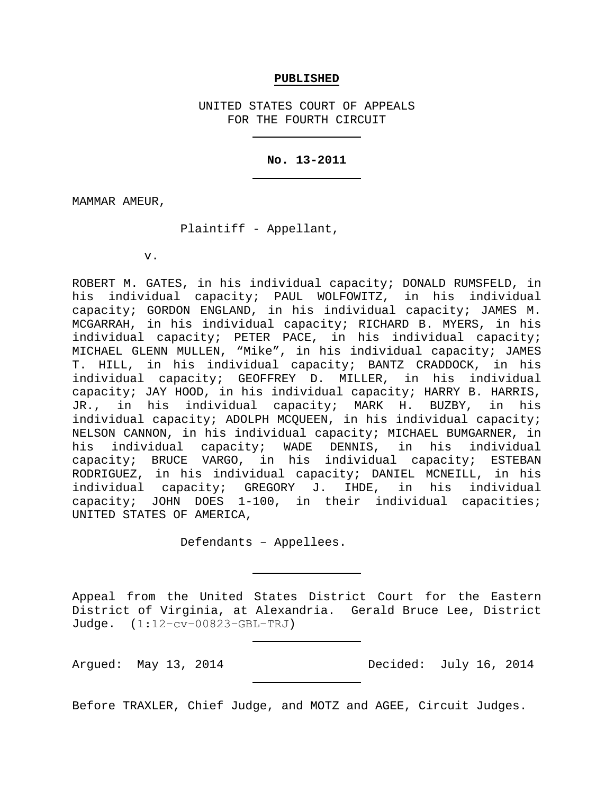#### **PUBLISHED**

UNITED STATES COURT OF APPEALS FOR THE FOURTH CIRCUIT

#### **No. 13-2011**

MAMMAR AMEUR,

Plaintiff - Appellant,

v.

ROBERT M. GATES, in his individual capacity; DONALD RUMSFELD, in his individual capacity; PAUL WOLFOWITZ, in his individual capacity; GORDON ENGLAND, in his individual capacity; JAMES M. MCGARRAH, in his individual capacity; RICHARD B. MYERS, in his individual capacity; PETER PACE, in his individual capacity; MICHAEL GLENN MULLEN, "Mike", in his individual capacity; JAMES T. HILL, in his individual capacity; BANTZ CRADDOCK, in his individual capacity; GEOFFREY D. MILLER, in his individual capacity; JAY HOOD, in his individual capacity; HARRY B. HARRIS, JR., in his individual capacity; MARK H. BUZBY, in his individual capacity; ADOLPH MCQUEEN, in his individual capacity; NELSON CANNON, in his individual capacity; MICHAEL BUMGARNER, in individual capacity; WADE DENNIS, in his individual capacity; BRUCE VARGO, in his individual capacity; ESTEBAN RODRIGUEZ, in his individual capacity; DANIEL MCNEILL, in his<br>individual capacity; GREGORY J. IHDE, in his individual individual capacity; GREGORY J. IHDE, capacity; JOHN DOES 1-100, in their individual capacities; UNITED STATES OF AMERICA,

Defendants – Appellees.

Appeal from the United States District Court for the Eastern District of Virginia, at Alexandria. Gerald Bruce Lee, District Judge. (1:12−cv−00823−GBL−TRJ)

Argued: May 13, 2014 Decided: July 16, 2014

Before TRAXLER, Chief Judge, and MOTZ and AGEE, Circuit Judges.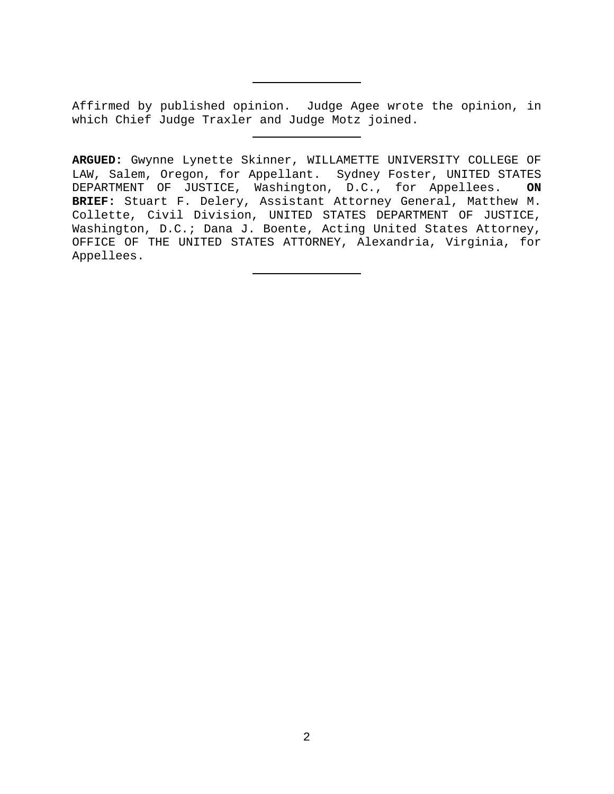Affirmed by published opinion. Judge Agee wrote the opinion, in which Chief Judge Traxler and Judge Motz joined.

**ARGUED:** Gwynne Lynette Skinner, WILLAMETTE UNIVERSITY COLLEGE OF LAW, Salem, Oregon, for Appellant. Sydney Foster, UNITED STATES<br>DEPARTMENT OF JUSTICE, Washington, D.C., for Appellees. ON DEPARTMENT OF JUSTICE, Washington, D.C., for Appellees. **BRIEF:** Stuart F. Delery, Assistant Attorney General, Matthew M. Collette, Civil Division, UNITED STATES DEPARTMENT OF JUSTICE, Washington, D.C.; Dana J. Boente, Acting United States Attorney, OFFICE OF THE UNITED STATES ATTORNEY, Alexandria, Virginia, for Appellees.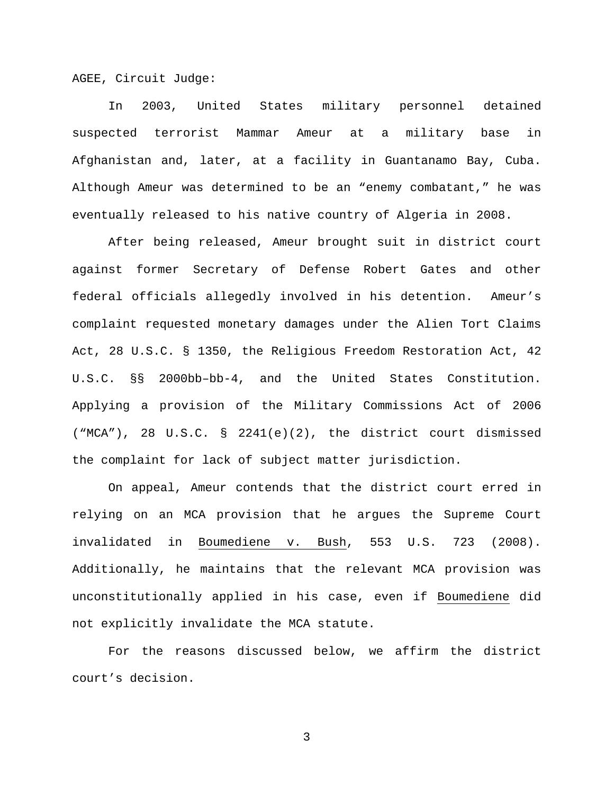AGEE, Circuit Judge:

In 2003, United States military personnel detained suspected terrorist Mammar Ameur at a military base in Afghanistan and, later, at a facility in Guantanamo Bay, Cuba. Although Ameur was determined to be an "enemy combatant," he was eventually released to his native country of Algeria in 2008.

After being released, Ameur brought suit in district court against former Secretary of Defense Robert Gates and other federal officials allegedly involved in his detention. Ameur's complaint requested monetary damages under the Alien Tort Claims Act, 28 U.S.C. § 1350, the Religious Freedom Restoration Act, 42 U.S.C. §§ 2000bb–bb-4, and the United States Constitution. Applying a provision of the Military Commissions Act of 2006 ("MCA"), 28 U.S.C. § 2241(e)(2), the district court dismissed the complaint for lack of subject matter jurisdiction.

On appeal, Ameur contends that the district court erred in relying on an MCA provision that he argues the Supreme Court invalidated in Boumediene v. Bush, 553 U.S. 723 (2008). Additionally, he maintains that the relevant MCA provision was unconstitutionally applied in his case, even if Boumediene did not explicitly invalidate the MCA statute.

For the reasons discussed below, we affirm the district court's decision.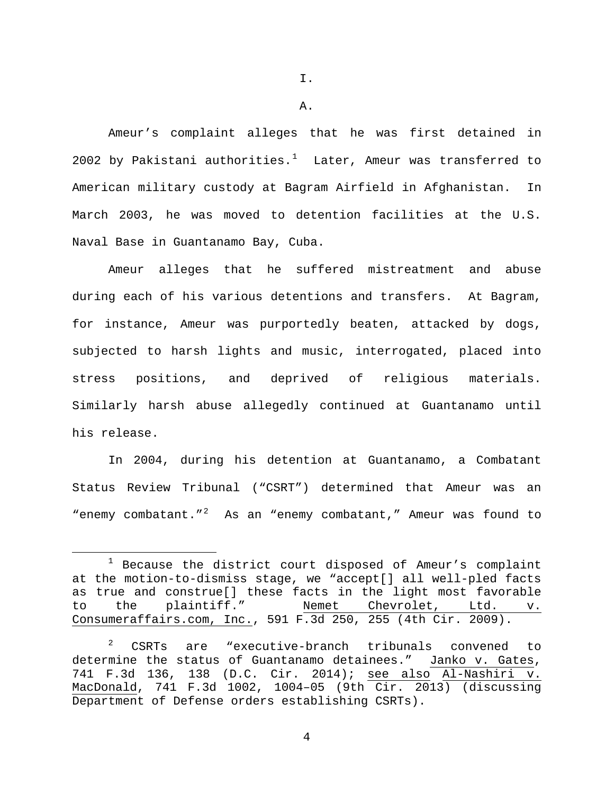I.

A.

Ameur's complaint alleges that he was first detained in 2002 by Pakistani authorities.<sup>[1](#page-3-0)</sup> Later, Ameur was transferred to American military custody at Bagram Airfield in Afghanistan. In March 2003, he was moved to detention facilities at the U.S. Naval Base in Guantanamo Bay, Cuba.

Ameur alleges that he suffered mistreatment and abuse during each of his various detentions and transfers. At Bagram, for instance, Ameur was purportedly beaten, attacked by dogs, subjected to harsh lights and music, interrogated, placed into stress positions, and deprived of religious materials. Similarly harsh abuse allegedly continued at Guantanamo until his release.

In 2004, during his detention at Guantanamo, a Combatant Status Review Tribunal ("CSRT") determined that Ameur was an "enemy combatant."<sup>[2](#page-3-1)</sup> As an "enemy combatant," Ameur was found to

<span id="page-3-0"></span> $1$  Because the district court disposed of Ameur's complaint at the motion-to-dismiss stage, we "accept[] all well-pled facts as true and construe[] these facts in the light most favorable<br>to the plaintiff." Nemet Chevrolet, Ltd. v. to the plaintiff." Nemet Chevrolet, Ltd. v. Consumeraffairs.com, Inc., 591 F.3d 250, 255 (4th Cir. 2009).

<span id="page-3-1"></span><sup>&</sup>lt;sup>2</sup> CSRTs are "executive-branch tribunals convened to determine the status of Guantanamo detainees." Janko v. Gates, 741 F.3d 136, 138 (D.C. Cir. 2014); see also Al-Nashiri v. MacDonald, 741 F.3d 1002, 1004–05 (9th Cir. 2013) (discussing Department of Defense orders establishing CSRTs).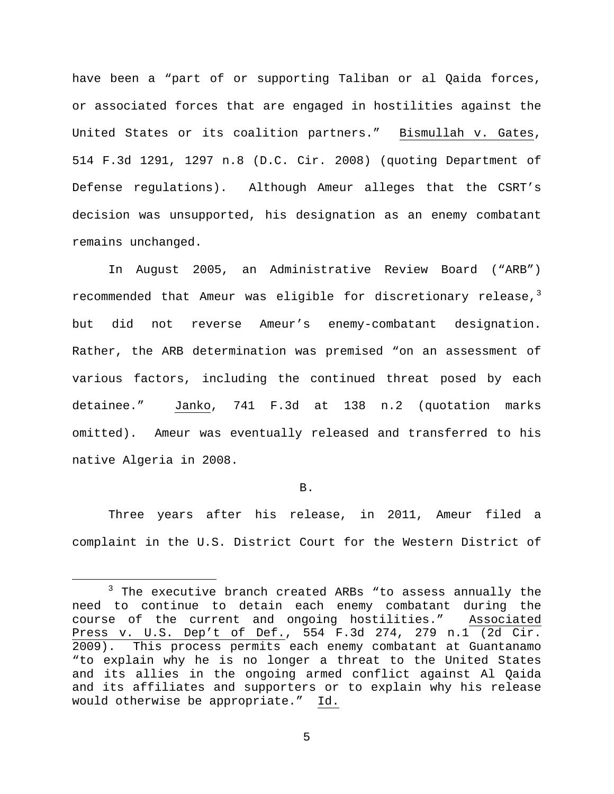have been a "part of or supporting Taliban or al Qaida forces, or associated forces that are engaged in hostilities against the United States or its coalition partners." Bismullah v. Gates, 514 F.3d 1291, 1297 n.8 (D.C. Cir. 2008) (quoting Department of Defense regulations). Although Ameur alleges that the CSRT's decision was unsupported, his designation as an enemy combatant remains unchanged.

In August 2005, an Administrative Review Board ("ARB") recommended that Ameur was eligible for discretionary release, $3$ but did not reverse Ameur's enemy-combatant designation. Rather, the ARB determination was premised "on an assessment of various factors, including the continued threat posed by each detainee." Janko, 741 F.3d at 138 n.2 (quotation marks omitted). Ameur was eventually released and transferred to his native Algeria in 2008.

#### B.

Three years after his release, in 2011, Ameur filed a complaint in the U.S. District Court for the Western District of

<span id="page-4-0"></span><sup>&</sup>lt;sup>3</sup> The executive branch created ARBs "to assess annually the need to continue to detain each enemy combatant during the course of the current and ongoing hostilities." Associated Press v. U.S. Dep't of Def., 554 F.3d 274, 279 n.1 (2d Cir. 2009). This process permits each enemy combatant at Guantanamo "to explain why he is no longer a threat to the United States and its allies in the ongoing armed conflict against Al Qaida and its affiliates and supporters or to explain why his release would otherwise be appropriate." Id.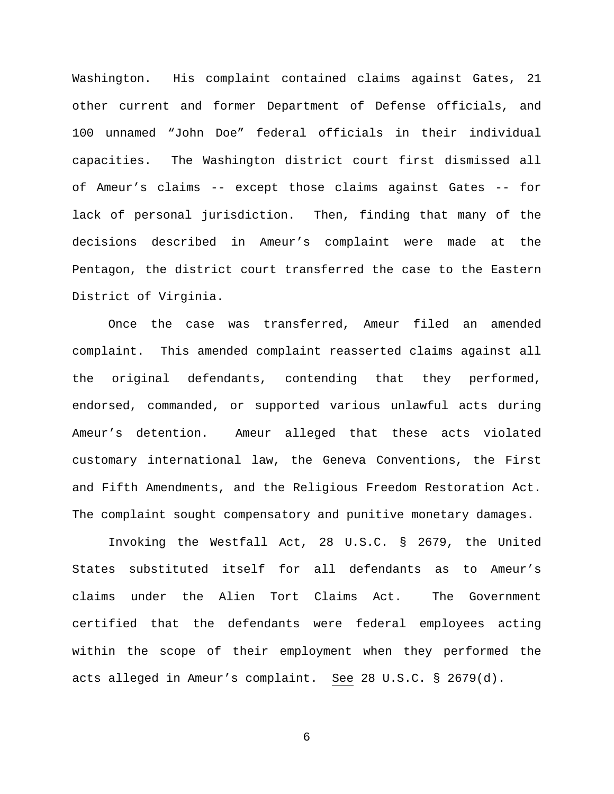Washington. His complaint contained claims against Gates, 21 other current and former Department of Defense officials, and 100 unnamed "John Doe" federal officials in their individual capacities. The Washington district court first dismissed all of Ameur's claims -- except those claims against Gates -- for lack of personal jurisdiction. Then, finding that many of the decisions described in Ameur's complaint were made at the Pentagon, the district court transferred the case to the Eastern District of Virginia.

Once the case was transferred, Ameur filed an amended complaint. This amended complaint reasserted claims against all the original defendants, contending that they performed, endorsed, commanded, or supported various unlawful acts during Ameur's detention. Ameur alleged that these acts violated customary international law, the Geneva Conventions, the First and Fifth Amendments, and the Religious Freedom Restoration Act. The complaint sought compensatory and punitive monetary damages.

Invoking the Westfall Act, 28 U.S.C. § 2679, the United States substituted itself for all defendants as to Ameur's claims under the Alien Tort Claims Act. The Government certified that the defendants were federal employees acting within the scope of their employment when they performed the acts alleged in Ameur's complaint. See 28 U.S.C. § 2679(d).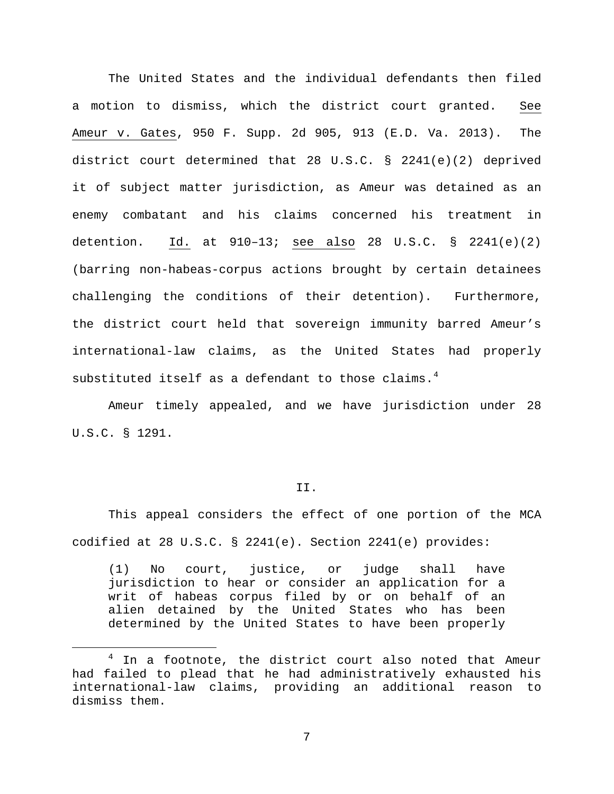The United States and the individual defendants then filed a motion to dismiss, which the district court granted. See Ameur v. Gates, 950 F. Supp. 2d 905, 913 (E.D. Va. 2013). The district court determined that 28 U.S.C. § 2241(e)(2) deprived it of subject matter jurisdiction, as Ameur was detained as an enemy combatant and his claims concerned his treatment in detention.  $\underline{Id.}$  at  $910-13$ ; see also 28 U.S.C. § 2241(e)(2) (barring non-habeas-corpus actions brought by certain detainees challenging the conditions of their detention). Furthermore, the district court held that sovereign immunity barred Ameur's international-law claims, as the United States had properly substituted itself as a defendant to those claims.<sup>[4](#page-6-0)</sup>

Ameur timely appealed, and we have jurisdiction under 28 U.S.C. § 1291.

### II.

This appeal considers the effect of one portion of the MCA codified at 28 U.S.C. § 2241(e). Section 2241(e) provides:

(1) No court, justice, or judge shall have jurisdiction to hear or consider an application for a writ of habeas corpus filed by or on behalf of an alien detained by the United States who has been determined by the United States to have been properly

<span id="page-6-0"></span><sup>&</sup>lt;sup>4</sup> In a footnote, the district court also noted that Ameur had failed to plead that he had administratively exhausted his international-law claims, providing an additional reason to dismiss them.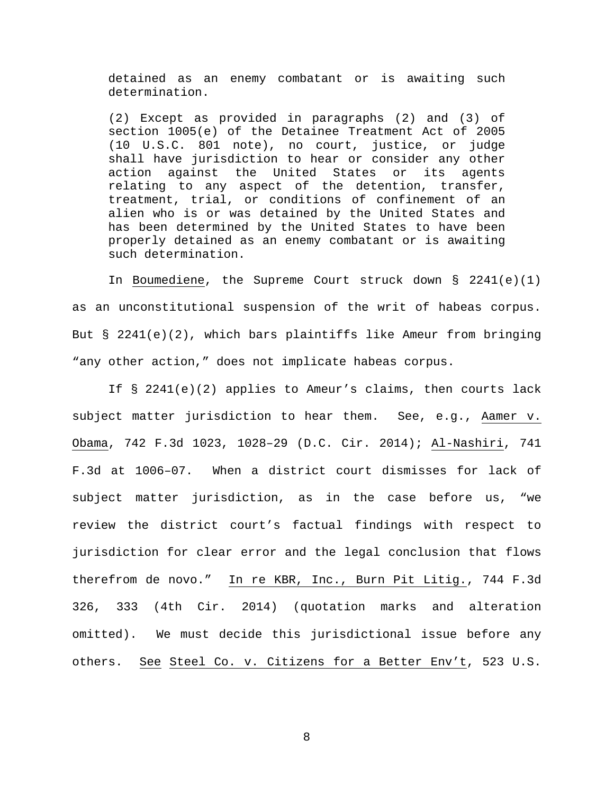detained as an enemy combatant or is awaiting such determination.

(2) Except as provided in paragraphs (2) and (3) of section 1005(e) of the Detainee Treatment Act of 2005 (10 U.S.C. 801 note), no court, justice, or judge shall have jurisdiction to hear or consider any other action against the United States or its agents relating to any aspect of the detention, transfer, treatment, trial, or conditions of confinement of an alien who is or was detained by the United States and has been determined by the United States to have been properly detained as an enemy combatant or is awaiting such determination.

In Boumediene, the Supreme Court struck down § 2241(e)(1) as an unconstitutional suspension of the writ of habeas corpus. But § 2241(e)(2), which bars plaintiffs like Ameur from bringing "any other action," does not implicate habeas corpus.

If § 2241(e)(2) applies to Ameur's claims, then courts lack subject matter jurisdiction to hear them. See, e.g., Aamer v. Obama, 742 F.3d 1023, 1028–29 (D.C. Cir. 2014); Al-Nashiri, 741 F.3d at 1006–07. When a district court dismisses for lack of subject matter jurisdiction, as in the case before us, "we review the district court's factual findings with respect to jurisdiction for clear error and the legal conclusion that flows therefrom de novo." In re KBR, Inc., Burn Pit Litig., 744 F.3d 326, 333 (4th Cir. 2014) (quotation marks and alteration omitted). We must decide this jurisdictional issue before any others. See Steel Co. v. Citizens for a Better Env't, 523 U.S.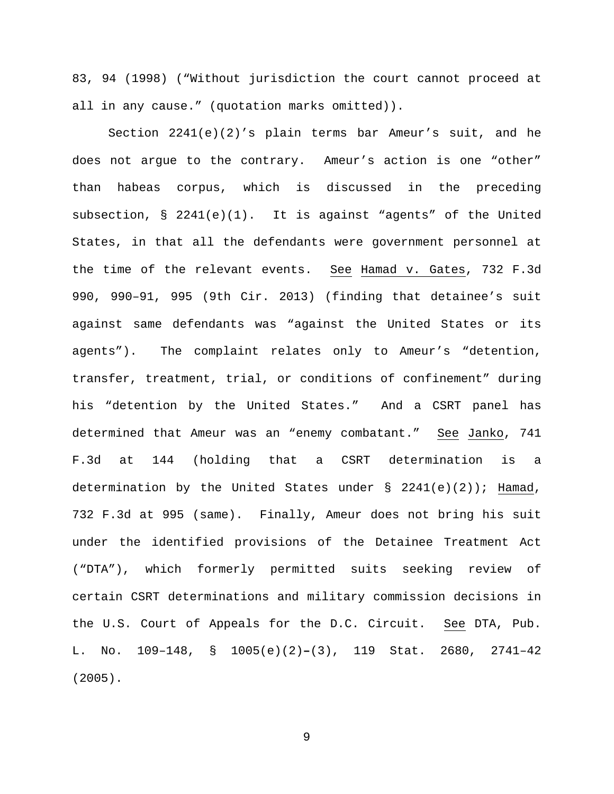83, 94 (1998) ("Without jurisdiction the court cannot proceed at all in any cause." (quotation marks omitted)).

Section 2241(e)(2)'s plain terms bar Ameur's suit, and he does not argue to the contrary. Ameur's action is one "other" than habeas corpus, which is discussed in the preceding subsection, § 2241(e)(1). It is against "agents" of the United States, in that all the defendants were government personnel at the time of the relevant events. See Hamad v. Gates, 732 F.3d 990, 990–91, 995 (9th Cir. 2013) (finding that detainee's suit against same defendants was "against the United States or its agents"). The complaint relates only to Ameur's "detention, transfer, treatment, trial, or conditions of confinement" during his "detention by the United States." And a CSRT panel has determined that Ameur was an "enemy combatant." See Janko, 741 F.3d at 144 (holding that a CSRT determination is a determination by the United States under  $\S$  2241(e)(2)); Hamad, 732 F.3d at 995 (same). Finally, Ameur does not bring his suit under the identified provisions of the Detainee Treatment Act ("DTA"), which formerly permitted suits seeking review of certain CSRT determinations and military commission decisions in the U.S. Court of Appeals for the D.C. Circuit. See DTA, Pub. L. No. 109–148, § 1005(e)(2)**–**(3), 119 Stat. 2680, 2741–42 (2005).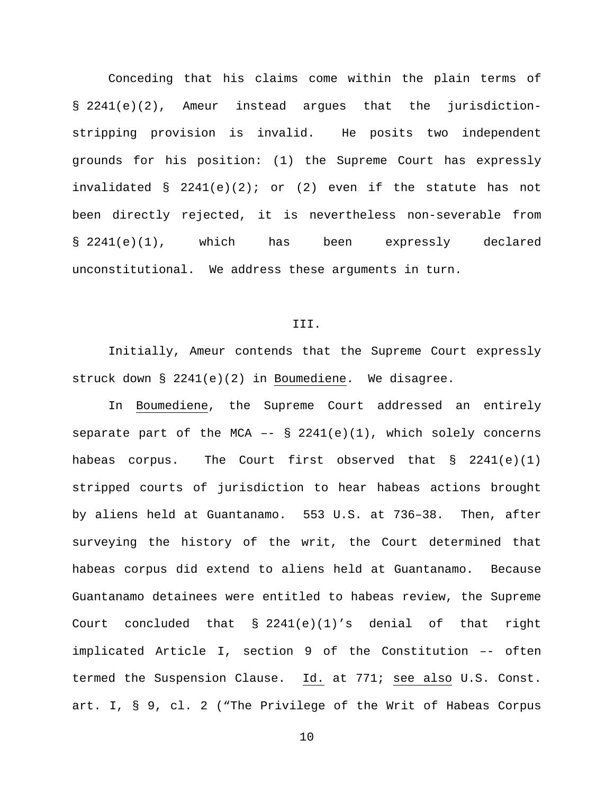Conceding that his claims come within the plain terms of § 2241(e)(2), Ameur instead argues that the jurisdictionstripping provision is invalid. He posits two independent grounds for his position: (1) the Supreme Court has expressly invalidated  $\S$  2241(e)(2); or (2) even if the statute has not been directly rejected, it is nevertheless non-severable from § 2241(e)(1), which has been expressly declared unconstitutional. We address these arguments in turn.

#### III.

Initially, Ameur contends that the Supreme Court expressly struck down § 2241(e)(2) in Boumediene. We disagree.

In Boumediene, the Supreme Court addressed an entirely separate part of the MCA  $--$  § 2241(e)(1), which solely concerns habeas corpus. The Court first observed that  $\S$  2241(e)(1) stripped courts of jurisdiction to hear habeas actions brought by aliens held at Guantanamo. 553 U.S. at 736–38. Then, after surveying the history of the writ, the Court determined that habeas corpus did extend to aliens held at Guantanamo. Because Guantanamo detainees were entitled to habeas review, the Supreme Court concluded that § 2241(e)(1)'s denial of that right implicated Article I, section 9 of the Constitution –- often termed the Suspension Clause. Id. at 771; see also U.S. Const. art. I, § 9, cl. 2 ("The Privilege of the Writ of Habeas Corpus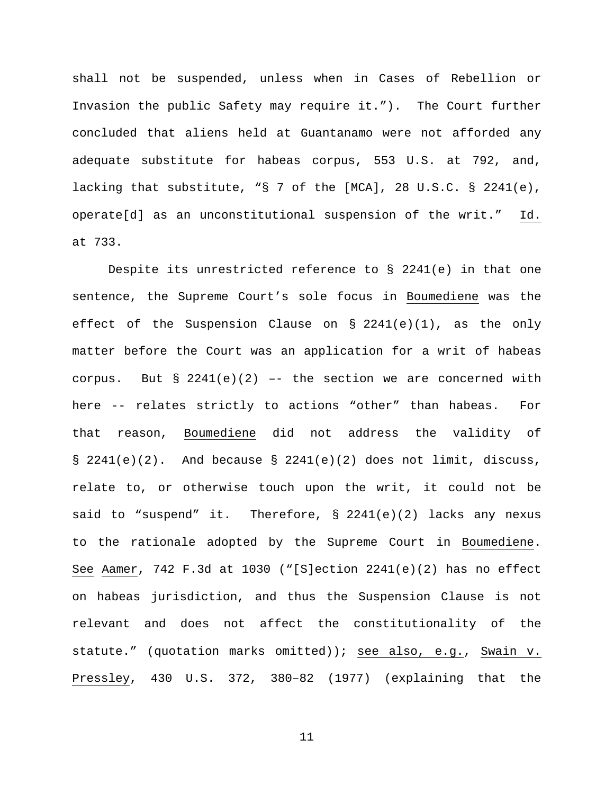shall not be suspended, unless when in Cases of Rebellion or Invasion the public Safety may require it."). The Court further concluded that aliens held at Guantanamo were not afforded any adequate substitute for habeas corpus, 553 U.S. at 792, and, lacking that substitute, "§ 7 of the [MCA], 28 U.S.C. § 2241(e), operate[d] as an unconstitutional suspension of the writ." Id. at 733.

Despite its unrestricted reference to § 2241(e) in that one sentence, the Supreme Court's sole focus in Boumediene was the effect of the Suspension Clause on  $\S$  2241(e)(1), as the only matter before the Court was an application for a writ of habeas corpus. But  $\S$  2241(e)(2) -- the section we are concerned with here -- relates strictly to actions "other" than habeas. For that reason, Boumediene did not address the validity of  $\S$  2241(e)(2). And because  $\S$  2241(e)(2) does not limit, discuss, relate to, or otherwise touch upon the writ, it could not be said to "suspend" it. Therefore,  $\S$  2241(e)(2) lacks any nexus to the rationale adopted by the Supreme Court in Boumediene. See Aamer, 742 F.3d at 1030 ("[S]ection  $2241(e)(2)$  has no effect on habeas jurisdiction, and thus the Suspension Clause is not relevant and does not affect the constitutionality of the statute." (quotation marks omitted)); see also, e.g., Swain v. Pressley, 430 U.S. 372, 380–82 (1977) (explaining that the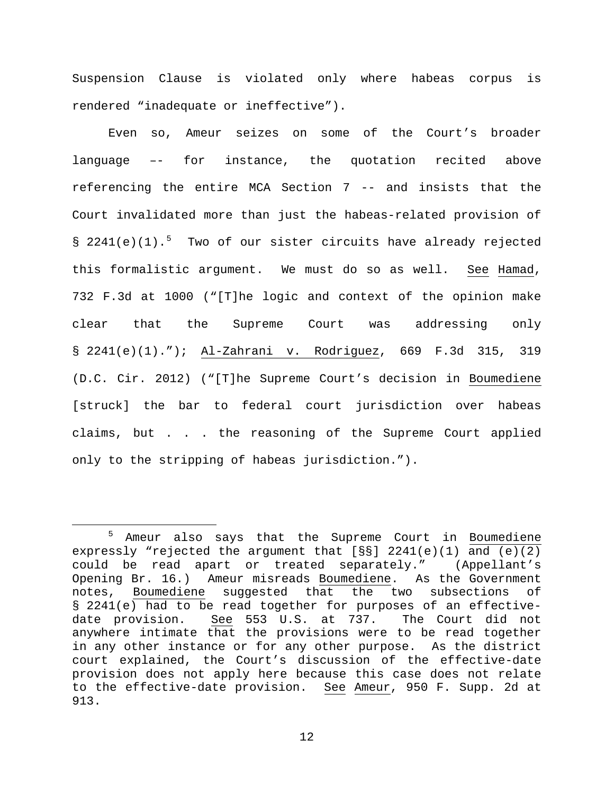Suspension Clause is violated only where habeas corpus is rendered "inadequate or ineffective").

Even so, Ameur seizes on some of the Court's broader language –- for instance, the quotation recited above referencing the entire MCA Section 7 -- and insists that the Court invalidated more than just the habeas-related provision of § 2241(e)(1).<sup>[5](#page-11-0)</sup> Two of our sister circuits have already rejected this formalistic argument. We must do so as well. See Hamad, 732 F.3d at 1000 ("[T]he logic and context of the opinion make clear that the Supreme Court was addressing only § 2241(e)(1)."); Al-Zahrani v. Rodriguez, 669 F.3d 315, 319 (D.C. Cir. 2012) ("[T]he Supreme Court's decision in Boumediene [struck] the bar to federal court jurisdiction over habeas claims, but . . . the reasoning of the Supreme Court applied only to the stripping of habeas jurisdiction.").

<span id="page-11-0"></span> <sup>5</sup> Ameur also says that the Supreme Court in Boumediene expressly "rejected the argument that [§§] 2241(e)(1) and (e)(2) could be read apart or treated separately." (Appellant's Opening Br. 16.) Ameur misreads Boumediene. As the Government notes, Boumediene suggested that the two subsections of § 2241(e) had to be read together for purposes of an effectivedate provision. See 553 U.S. at 737. The Court did not anywhere intimate that the provisions were to be read together in any other instance or for any other purpose. As the district court explained, the Court's discussion of the effective-date provision does not apply here because this case does not relate to the effective-date provision. See Ameur, 950 F. Supp. 2d at 913.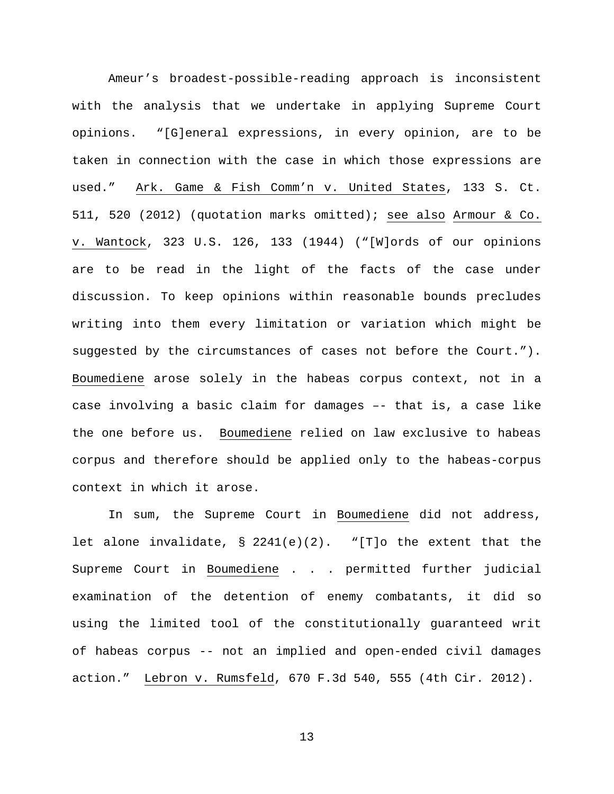Ameur's broadest-possible-reading approach is inconsistent with the analysis that we undertake in applying Supreme Court opinions. "[G]eneral expressions, in every opinion, are to be taken in connection with the case in which those expressions are used." Ark. Game & Fish Comm'n v. United States, 133 S. Ct. 511, 520 (2012) (quotation marks omitted); see also Armour & Co. v. Wantock, 323 U.S. 126, 133 (1944) ("[W]ords of our opinions are to be read in the light of the facts of the case under discussion. To keep opinions within reasonable bounds precludes writing into them every limitation or variation which might be suggested by the circumstances of cases not before the Court."). Boumediene arose solely in the habeas corpus context, not in a case involving a basic claim for damages –- that is, a case like the one before us. Boumediene relied on law exclusive to habeas corpus and therefore should be applied only to the habeas-corpus context in which it arose.

In sum, the Supreme Court in Boumediene did not address, let alone invalidate,  $\S$  2241(e)(2). "[T]o the extent that the Supreme Court in Boumediene . . . permitted further judicial examination of the detention of enemy combatants, it did so using the limited tool of the constitutionally guaranteed writ of habeas corpus -- not an implied and open-ended civil damages action." Lebron v. Rumsfeld, 670 F.3d 540, 555 (4th Cir. 2012).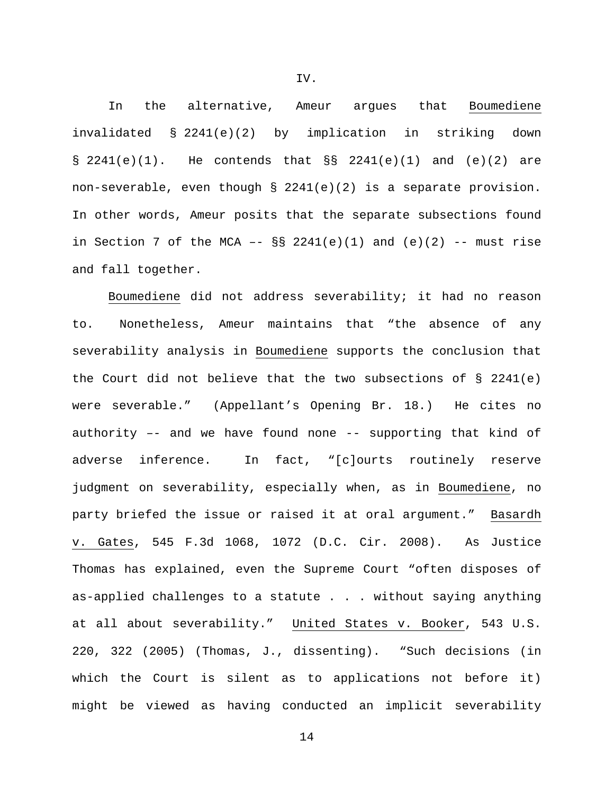IV.

In the alternative, Ameur argues that Boumediene invalidated § 2241(e)(2) by implication in striking down  $\S$  2241(e)(1). He contends that  $\S$  2241(e)(1) and (e)(2) are non-severable, even though  $\S$  2241(e)(2) is a separate provision. In other words, Ameur posits that the separate subsections found in Section 7 of the MCA  $- \S$ § 2241(e)(1) and (e)(2)  $--$  must rise and fall together.

Boumediene did not address severability; it had no reason to. Nonetheless, Ameur maintains that "the absence of any severability analysis in Boumediene supports the conclusion that the Court did not believe that the two subsections of  $\S$  2241(e) were severable." (Appellant's Opening Br. 18.) He cites no authority –- and we have found none -- supporting that kind of adverse inference. In fact, "[c]ourts routinely reserve judgment on severability, especially when, as in Boumediene, no party briefed the issue or raised it at oral argument." Basardh v. Gates, 545 F.3d 1068, 1072 (D.C. Cir. 2008). As Justice Thomas has explained, even the Supreme Court "often disposes of as-applied challenges to a statute . . . without saying anything at all about severability." United States v. Booker, 543 U.S. 220, 322 (2005) (Thomas, J., dissenting). "Such decisions (in which the Court is silent as to applications not before it) might be viewed as having conducted an implicit severability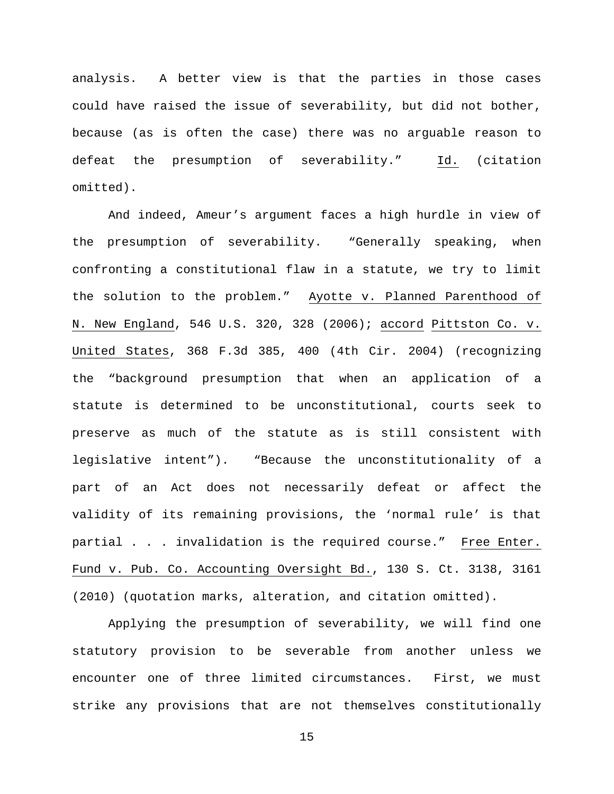analysis. A better view is that the parties in those cases could have raised the issue of severability, but did not bother, because (as is often the case) there was no arguable reason to defeat the presumption of severability." Id. (citation omitted).

And indeed, Ameur's argument faces a high hurdle in view of the presumption of severability. "Generally speaking, when confronting a constitutional flaw in a statute, we try to limit the solution to the problem." Ayotte v. Planned Parenthood of N. New England, 546 U.S. 320, 328 (2006); accord Pittston Co. v. United States, 368 F.3d 385, 400 (4th Cir. 2004) (recognizing the "background presumption that when an application of a statute is determined to be unconstitutional, courts seek to preserve as much of the statute as is still consistent with legislative intent"). "Because the unconstitutionality of a part of an Act does not necessarily defeat or affect the validity of its remaining provisions, the 'normal rule' is that partial . . . invalidation is the required course." Free Enter. Fund v. Pub. Co. Accounting Oversight Bd., 130 S. Ct. 3138, 3161 (2010) (quotation marks, alteration, and citation omitted).

Applying the presumption of severability, we will find one statutory provision to be severable from another unless we encounter one of three limited circumstances. First, we must strike any provisions that are not themselves constitutionally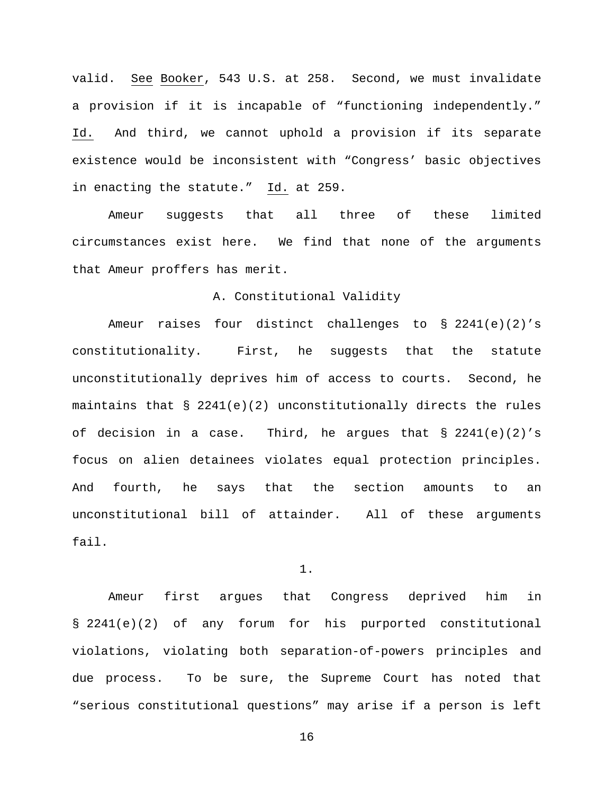valid. See Booker, 543 U.S. at 258. Second, we must invalidate a provision if it is incapable of "functioning independently." Id. And third, we cannot uphold a provision if its separate existence would be inconsistent with "Congress' basic objectives in enacting the statute." Id. at 259.

Ameur suggests that all three of these limited circumstances exist here. We find that none of the arguments that Ameur proffers has merit.

## A. Constitutional Validity

Ameur raises four distinct challenges to § 2241(e)(2)'s constitutionality. First, he suggests that the statute unconstitutionally deprives him of access to courts. Second, he maintains that  $\S$  2241(e)(2) unconstitutionally directs the rules of decision in a case. Third, he argues that  $\S$  2241(e)(2)'s focus on alien detainees violates equal protection principles. And fourth, he says that the section amounts to an unconstitutional bill of attainder. All of these arguments fail.

1.

Ameur first argues that Congress deprived him in § 2241(e)(2) of any forum for his purported constitutional violations, violating both separation-of-powers principles and due process. To be sure, the Supreme Court has noted that "serious constitutional questions" may arise if a person is left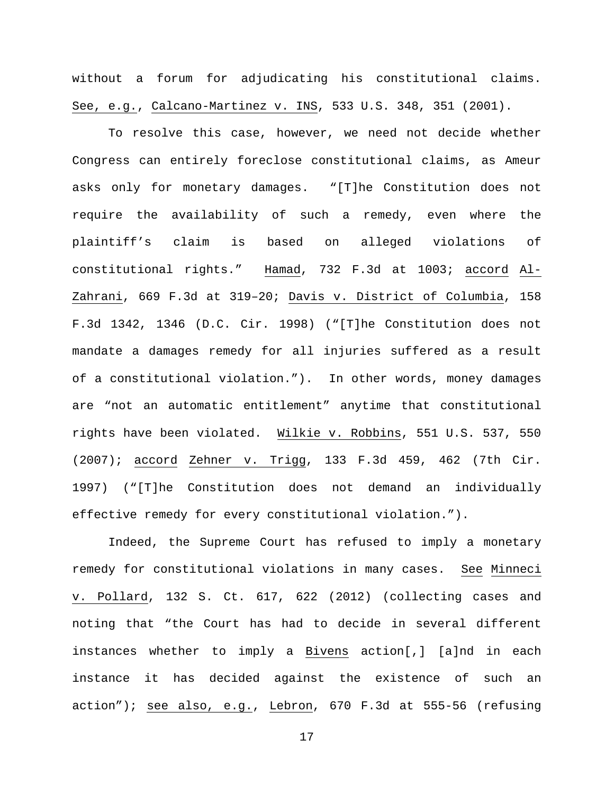without a forum for adjudicating his constitutional claims. See, e.g., Calcano-Martinez v. INS, 533 U.S. 348, 351 (2001).

To resolve this case, however, we need not decide whether Congress can entirely foreclose constitutional claims, as Ameur asks only for monetary damages. "[T]he Constitution does not require the availability of such a remedy, even where the plaintiff's claim is based on alleged violations of constitutional rights." Hamad, 732 F.3d at 1003; accord Al-Zahrani, 669 F.3d at 319–20; Davis v. District of Columbia, 158 F.3d 1342, 1346 (D.C. Cir. 1998) ("[T]he Constitution does not mandate a damages remedy for all injuries suffered as a result of a constitutional violation."). In other words, money damages are "not an automatic entitlement" anytime that constitutional rights have been violated. Wilkie v. Robbins, 551 U.S. 537, 550 (2007); accord Zehner v. Trigg, 133 F.3d 459, 462 (7th Cir. 1997) ("[T]he Constitution does not demand an individually effective remedy for every constitutional violation.").

Indeed, the Supreme Court has refused to imply a monetary remedy for constitutional violations in many cases. See Minneci v. Pollard, 132 S. Ct. 617, 622 (2012) (collecting cases and noting that "the Court has had to decide in several different instances whether to imply a Bivens action[,] [a]nd in each instance it has decided against the existence of such an  $action")$ ; see also, e.g., Lebron, 670 F.3d at 555-56 (refusing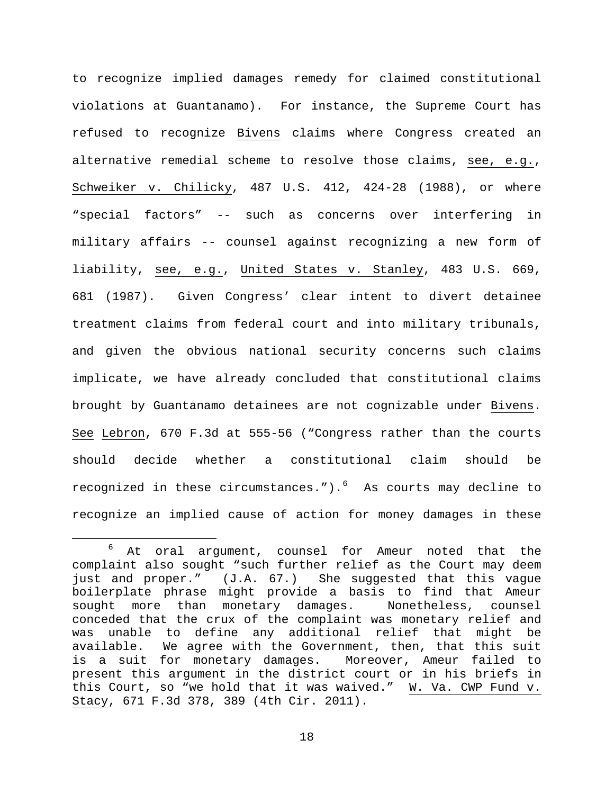to recognize implied damages remedy for claimed constitutional violations at Guantanamo). For instance, the Supreme Court has refused to recognize Bivens claims where Congress created an alternative remedial scheme to resolve those claims, see, e.g., Schweiker v. Chilicky, 487 U.S. 412, 424-28 (1988), or where "special factors" -- such as concerns over interfering in military affairs -- counsel against recognizing a new form of liability, see, e.g., United States v. Stanley, 483 U.S. 669, 681 (1987). Given Congress' clear intent to divert detainee treatment claims from federal court and into military tribunals, and given the obvious national security concerns such claims implicate, we have already concluded that constitutional claims brought by Guantanamo detainees are not cognizable under Bivens. See Lebron, 670 F.3d at 555-56 ("Congress rather than the courts should decide whether a constitutional claim should be recognized in these circumstances."). $^{6}$  $^{6}$  $^{6}$  As courts may decline to recognize an implied cause of action for money damages in these

<span id="page-17-0"></span><sup>&</sup>lt;sup>6</sup> At oral argument, counsel for Ameur noted that the complaint also sought "such further relief as the Court may deem just and proper." (J.A. 67.) She suggested that this vague boilerplate phrase might provide a basis to find that Ameur sought more than monetary damages. Nonetheless, counsel conceded that the crux of the complaint was monetary relief and was unable to define any additional relief that might be<br>available. We agree with the Government, then, that this suit We agree with the Government, then, that this suit is a suit for monetary damages. Moreover, Ameur failed to present this argument in the district court or in his briefs in this Court, so "we hold that it was waived." W. Va. CWP Fund v. Stacy, 671 F.3d 378, 389 (4th Cir. 2011).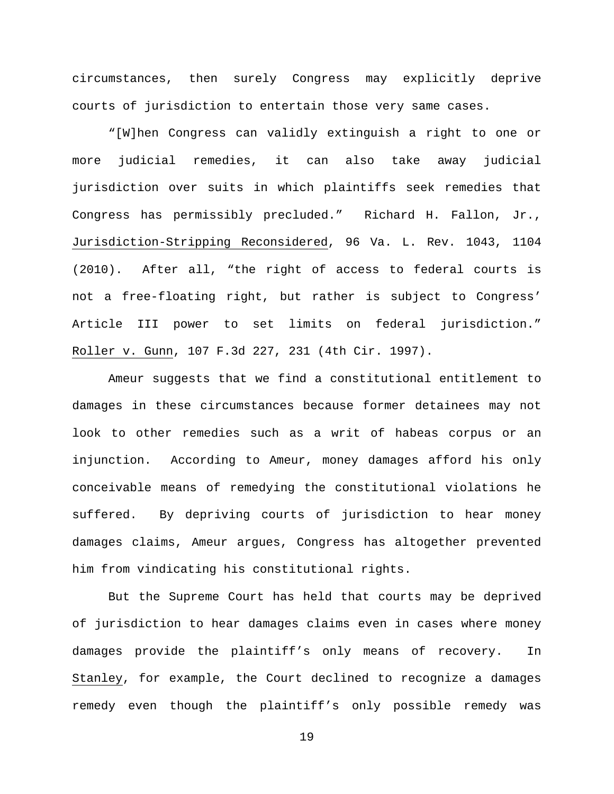circumstances, then surely Congress may explicitly deprive courts of jurisdiction to entertain those very same cases.

"[W]hen Congress can validly extinguish a right to one or more judicial remedies, it can also take away judicial jurisdiction over suits in which plaintiffs seek remedies that Congress has permissibly precluded." Richard H. Fallon, Jr., Jurisdiction-Stripping Reconsidered, 96 Va. L. Rev. 1043, 1104 (2010). After all, "the right of access to federal courts is not a free-floating right, but rather is subject to Congress' Article III power to set limits on federal jurisdiction." Roller v. Gunn, 107 F.3d 227, 231 (4th Cir. 1997).

Ameur suggests that we find a constitutional entitlement to damages in these circumstances because former detainees may not look to other remedies such as a writ of habeas corpus or an injunction. According to Ameur, money damages afford his only conceivable means of remedying the constitutional violations he suffered. By depriving courts of jurisdiction to hear money damages claims, Ameur argues, Congress has altogether prevented him from vindicating his constitutional rights.

But the Supreme Court has held that courts may be deprived of jurisdiction to hear damages claims even in cases where money damages provide the plaintiff's only means of recovery. In Stanley, for example, the Court declined to recognize a damages remedy even though the plaintiff's only possible remedy was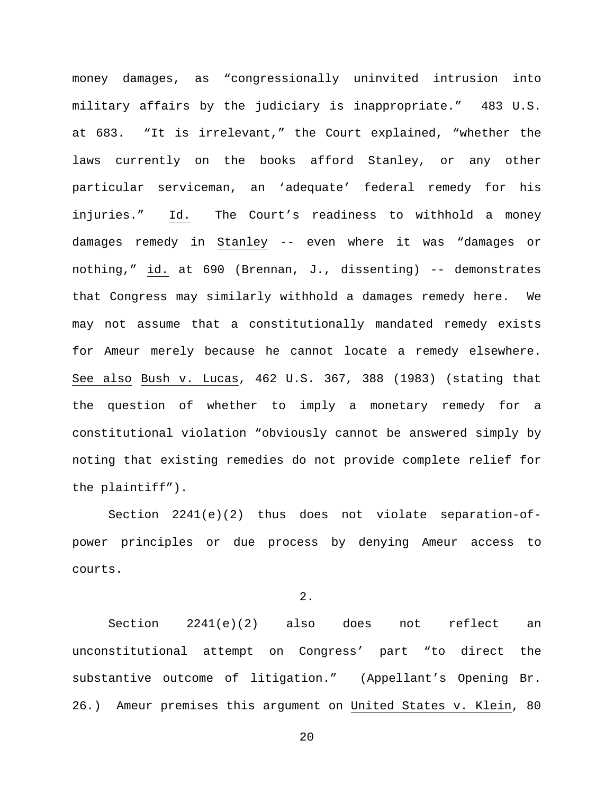money damages, as "congressionally uninvited intrusion into military affairs by the judiciary is inappropriate." 483 U.S. at 683. "It is irrelevant," the Court explained, "whether the laws currently on the books afford Stanley, or any other particular serviceman, an 'adequate' federal remedy for his injuries." Id. The Court's readiness to withhold a money damages remedy in Stanley -- even where it was "damages or nothing," id. at 690 (Brennan, J., dissenting) -- demonstrates that Congress may similarly withhold a damages remedy here. We may not assume that a constitutionally mandated remedy exists for Ameur merely because he cannot locate a remedy elsewhere. See also Bush v. Lucas, 462 U.S. 367, 388 (1983) (stating that the question of whether to imply a monetary remedy for a constitutional violation "obviously cannot be answered simply by noting that existing remedies do not provide complete relief for the plaintiff").

Section 2241(e)(2) thus does not violate separation-ofpower principles or due process by denying Ameur access to courts.

2.

Section 2241(e)(2) also does not reflect an unconstitutional attempt on Congress' part "to direct the substantive outcome of litigation." (Appellant's Opening Br. 26.) Ameur premises this argument on United States v. Klein, 80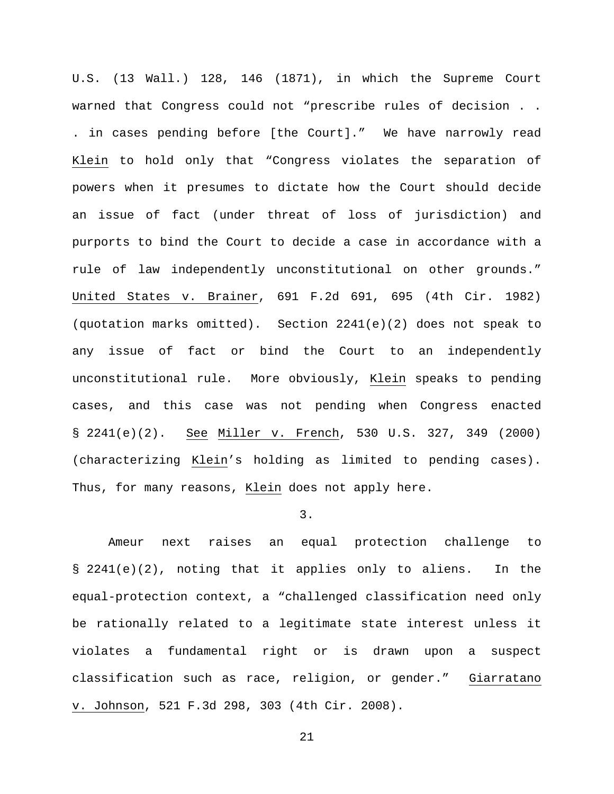U.S. (13 Wall.) 128, 146 (1871), in which the Supreme Court warned that Congress could not "prescribe rules of decision . . . in cases pending before [the Court]." We have narrowly read Klein to hold only that "Congress violates the separation of powers when it presumes to dictate how the Court should decide an issue of fact (under threat of loss of jurisdiction) and purports to bind the Court to decide a case in accordance with a rule of law independently unconstitutional on other grounds." United States v. Brainer, 691 F.2d 691, 695 (4th Cir. 1982) (quotation marks omitted). Section 2241(e)(2) does not speak to any issue of fact or bind the Court to an independently unconstitutional rule. More obviously, Klein speaks to pending cases, and this case was not pending when Congress enacted § 2241(e)(2). See Miller v. French, 530 U.S. 327, 349 (2000) (characterizing Klein's holding as limited to pending cases). Thus, for many reasons, Klein does not apply here.

# 3.

Ameur next raises an equal protection challenge to § 2241(e)(2), noting that it applies only to aliens. In the equal-protection context, a "challenged classification need only be rationally related to a legitimate state interest unless it violates a fundamental right or is drawn upon a suspect classification such as race, religion, or gender." Giarratano v. Johnson, 521 F.3d 298, 303 (4th Cir. 2008).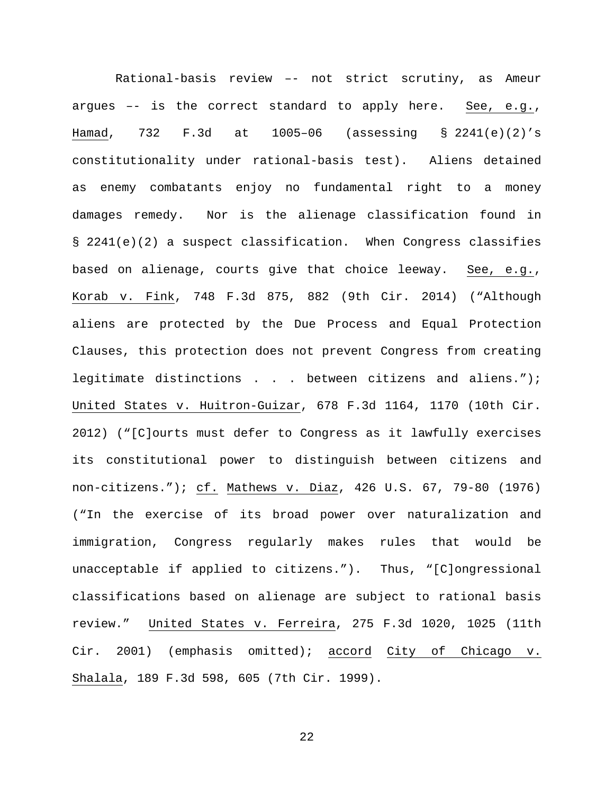Rational-basis review –- not strict scrutiny, as Ameur argues –- is the correct standard to apply here. See, e.g., Hamad, 732 F.3d at 1005–06 (assessing § 2241(e)(2)'s constitutionality under rational-basis test). Aliens detained as enemy combatants enjoy no fundamental right to a money damages remedy. Nor is the alienage classification found in § 2241(e)(2) a suspect classification. When Congress classifies based on alienage, courts give that choice leeway. See, e.g., Korab v. Fink, 748 F.3d 875, 882 (9th Cir. 2014) ("Although aliens are protected by the Due Process and Equal Protection Clauses, this protection does not prevent Congress from creating legitimate distinctions . . . between citizens and aliens."); United States v. Huitron-Guizar, 678 F.3d 1164, 1170 (10th Cir. 2012) ("[C]ourts must defer to Congress as it lawfully exercises its constitutional power to distinguish between citizens and non-citizens."); cf. Mathews v. Diaz, 426 U.S. 67, 79-80 (1976) ("In the exercise of its broad power over naturalization and immigration, Congress regularly makes rules that would be unacceptable if applied to citizens."). Thus, "[C]ongressional classifications based on alienage are subject to rational basis review." United States v. Ferreira, 275 F.3d 1020, 1025 (11th Cir. 2001) (emphasis omitted); accord City of Chicago v. Shalala, 189 F.3d 598, 605 (7th Cir. 1999).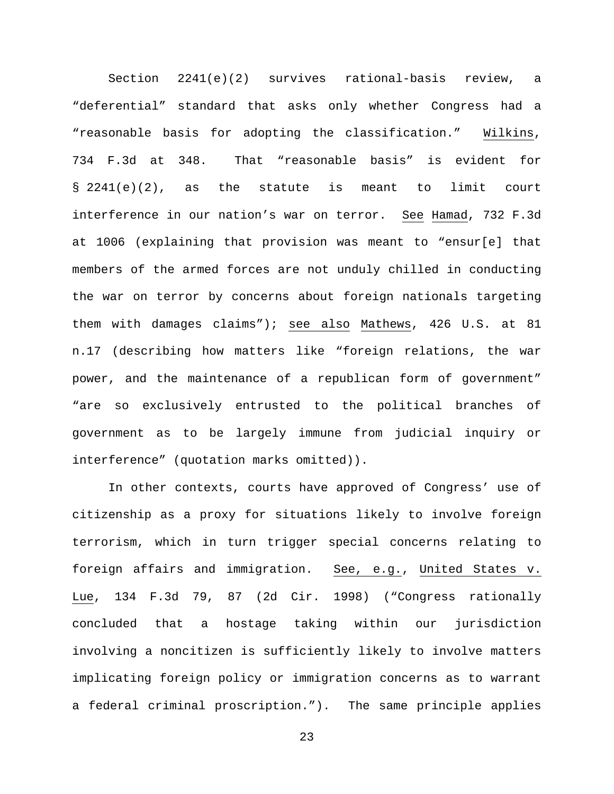Section 2241(e)(2) survives rational-basis review, a "deferential" standard that asks only whether Congress had a "reasonable basis for adopting the classification." Wilkins, 734 F.3d at 348. That "reasonable basis" is evident for § 2241(e)(2), as the statute is meant to limit court interference in our nation's war on terror. See Hamad, 732 F.3d at 1006 (explaining that provision was meant to "ensur[e] that members of the armed forces are not unduly chilled in conducting the war on terror by concerns about foreign nationals targeting them with damages claims"); see also Mathews, 426 U.S. at 81 n.17 (describing how matters like "foreign relations, the war power, and the maintenance of a republican form of government" "are so exclusively entrusted to the political branches of government as to be largely immune from judicial inquiry or interference" (quotation marks omitted)).

In other contexts, courts have approved of Congress' use of citizenship as a proxy for situations likely to involve foreign terrorism, which in turn trigger special concerns relating to foreign affairs and immigration. See, e.g., United States v. Lue, 134 F.3d 79, 87 (2d Cir. 1998) ("Congress rationally concluded that a hostage taking within our jurisdiction involving a noncitizen is sufficiently likely to involve matters implicating foreign policy or immigration concerns as to warrant a federal criminal proscription."). The same principle applies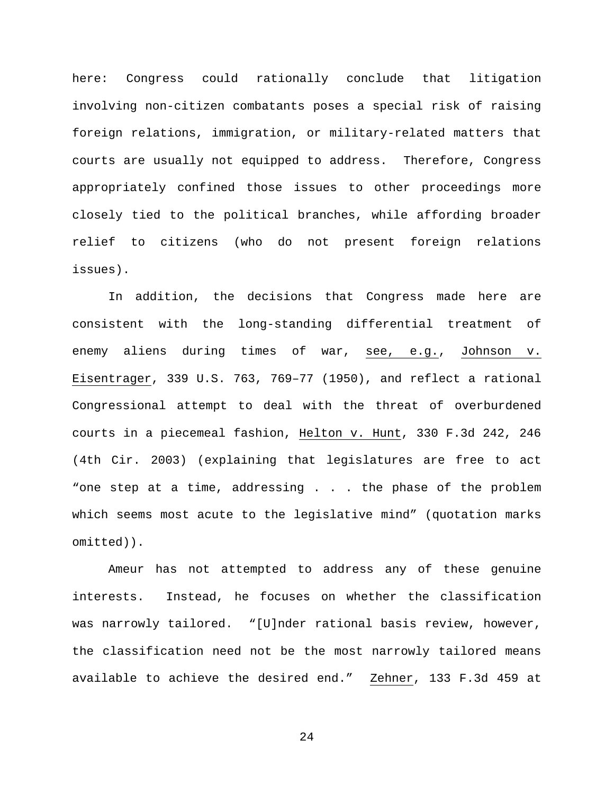here: Congress could rationally conclude that litigation involving non-citizen combatants poses a special risk of raising foreign relations, immigration, or military-related matters that courts are usually not equipped to address. Therefore, Congress appropriately confined those issues to other proceedings more closely tied to the political branches, while affording broader relief to citizens (who do not present foreign relations issues).

In addition, the decisions that Congress made here are consistent with the long-standing differential treatment of enemy aliens during times of war, see, e.g., Johnson v. Eisentrager, 339 U.S. 763, 769–77 (1950), and reflect a rational Congressional attempt to deal with the threat of overburdened courts in a piecemeal fashion, Helton v. Hunt, 330 F.3d 242, 246 (4th Cir. 2003) (explaining that legislatures are free to act "one step at a time, addressing . . . the phase of the problem which seems most acute to the legislative mind" (quotation marks omitted)).

Ameur has not attempted to address any of these genuine interests. Instead, he focuses on whether the classification was narrowly tailored. "[U]nder rational basis review, however, the classification need not be the most narrowly tailored means available to achieve the desired end." Zehner, 133 F.3d 459 at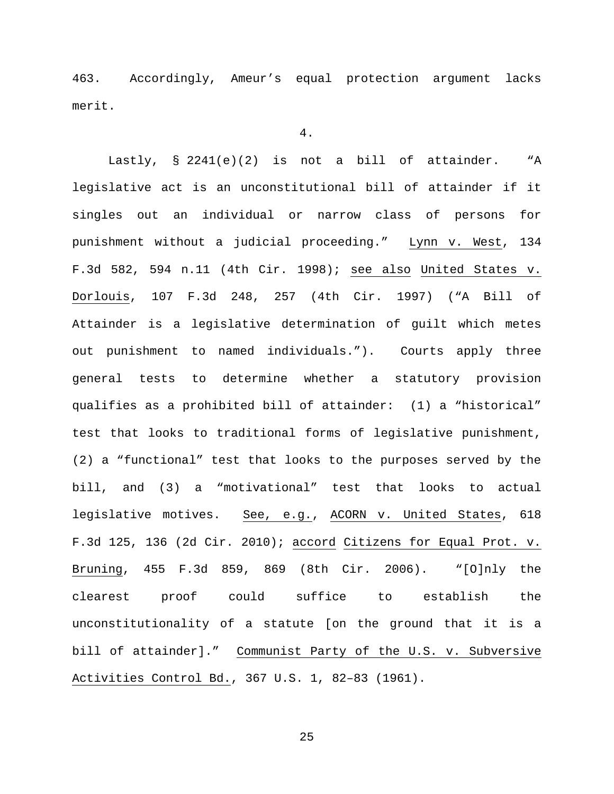463. Accordingly, Ameur's equal protection argument lacks merit.

#### 4.

Lastly, § 2241(e)(2) is not a bill of attainder. "A legislative act is an unconstitutional bill of attainder if it singles out an individual or narrow class of persons for punishment without a judicial proceeding." Lynn v. West, 134 F.3d 582, 594 n.11 (4th Cir. 1998); see also United States v. Dorlouis, 107 F.3d 248, 257 (4th Cir. 1997) ("A Bill of Attainder is a legislative determination of guilt which metes out punishment to named individuals."). Courts apply three general tests to determine whether a statutory provision qualifies as a prohibited bill of attainder: (1) a "historical" test that looks to traditional forms of legislative punishment, (2) a "functional" test that looks to the purposes served by the bill, and (3) a "motivational" test that looks to actual legislative motives. See, e.g., ACORN v. United States, 618 F.3d 125, 136 (2d Cir. 2010); accord Citizens for Equal Prot. v. Bruning, 455 F.3d 859, 869 (8th Cir. 2006). "[O]nly the clearest proof could suffice to establish the unconstitutionality of a statute [on the ground that it is a bill of attainder]." Communist Party of the U.S. v. Subversive Activities Control Bd., 367 U.S. 1, 82–83 (1961).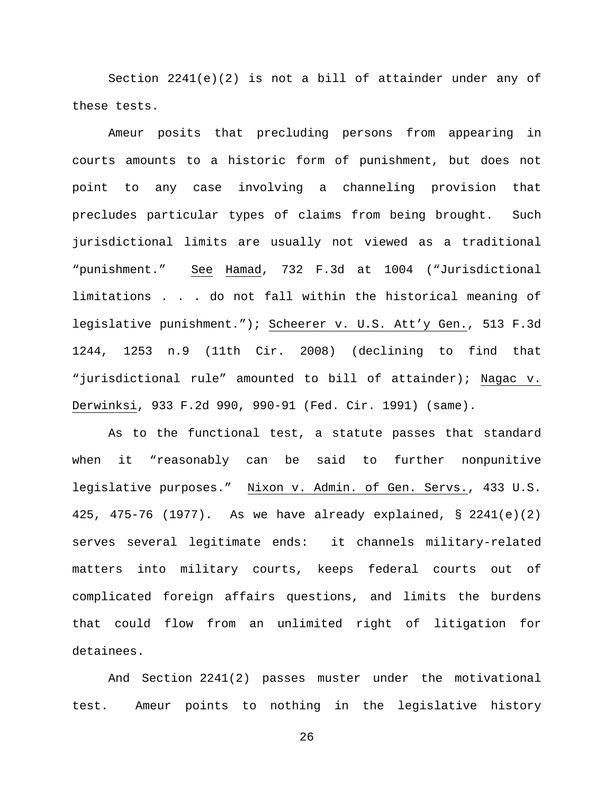Section  $2241(e)(2)$  is not a bill of attainder under any of these tests.

Ameur posits that precluding persons from appearing in courts amounts to a historic form of punishment, but does not point to any case involving a channeling provision that precludes particular types of claims from being brought. Such jurisdictional limits are usually not viewed as a traditional "punishment." See Hamad, 732 F.3d at 1004 ("Jurisdictional limitations . . . do not fall within the historical meaning of legislative punishment."); Scheerer v. U.S. Att'y Gen., 513 F.3d 1244, 1253 n.9 (11th Cir. 2008) (declining to find that "jurisdictional rule" amounted to bill of attainder); Nagac v. Derwinksi, 933 F.2d 990, 990-91 (Fed. Cir. 1991) (same).

As to the functional test, a statute passes that standard when it "reasonably can be said to further nonpunitive legislative purposes." Nixon v. Admin. of Gen. Servs., 433 U.S. 425, 475-76 (1977). As we have already explained, § 2241(e)(2) serves several legitimate ends: it channels military-related matters into military courts, keeps federal courts out of complicated foreign affairs questions, and limits the burdens that could flow from an unlimited right of litigation for detainees.

And Section 2241(2) passes muster under the motivational test. Ameur points to nothing in the legislative history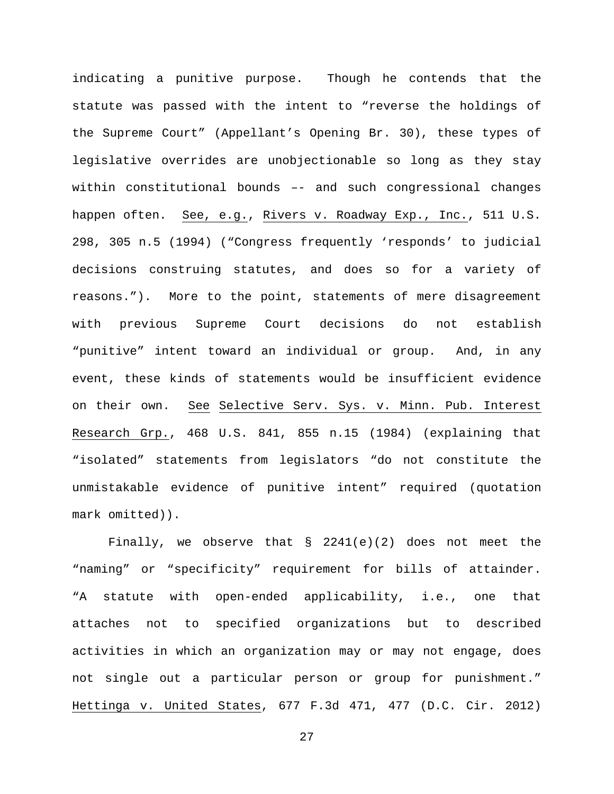indicating a punitive purpose. Though he contends that the statute was passed with the intent to "reverse the holdings of the Supreme Court" (Appellant's Opening Br. 30), these types of legislative overrides are unobjectionable so long as they stay within constitutional bounds –- and such congressional changes happen often. See, e.g., Rivers v. Roadway Exp., Inc., 511 U.S. 298, 305 n.5 (1994) ("Congress frequently 'responds' to judicial decisions construing statutes, and does so for a variety of reasons."). More to the point, statements of mere disagreement with previous Supreme Court decisions do not establish "punitive" intent toward an individual or group. And, in any event, these kinds of statements would be insufficient evidence on their own. See Selective Serv. Sys. v. Minn. Pub. Interest Research Grp., 468 U.S. 841, 855 n.15 (1984) (explaining that "isolated" statements from legislators "do not constitute the unmistakable evidence of punitive intent" required (quotation mark omitted)).

Finally, we observe that  $\S$  2241(e)(2) does not meet the "naming" or "specificity" requirement for bills of attainder. "A statute with open-ended applicability, i.e., one that attaches not to specified organizations but to described activities in which an organization may or may not engage, does not single out a particular person or group for punishment." Hettinga v. United States, 677 F.3d 471, 477 (D.C. Cir. 2012)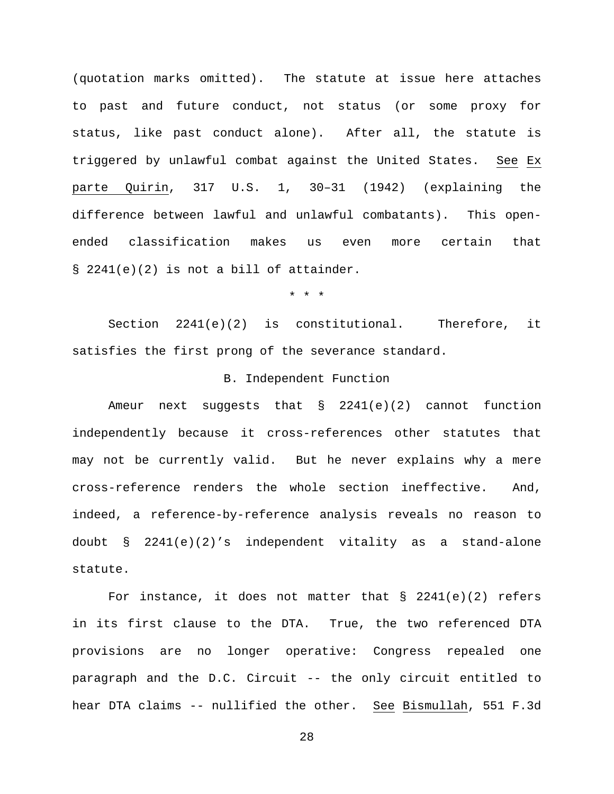(quotation marks omitted). The statute at issue here attaches to past and future conduct, not status (or some proxy for status, like past conduct alone). After all, the statute is triggered by unlawful combat against the United States. See Ex parte Quirin, 317 U.S. 1, 30–31 (1942) (explaining the difference between lawful and unlawful combatants). This openended classification makes us even more certain that § 2241(e)(2) is not a bill of attainder.

\* \* \*

Section 2241(e)(2) is constitutional. Therefore, it satisfies the first prong of the severance standard.

## B. Independent Function

Ameur next suggests that § 2241(e)(2) cannot function independently because it cross-references other statutes that may not be currently valid. But he never explains why a mere cross-reference renders the whole section ineffective. And, indeed, a reference-by-reference analysis reveals no reason to doubt § 2241(e)(2)'s independent vitality as a stand-alone statute.

For instance, it does not matter that  $\S$  2241(e)(2) refers in its first clause to the DTA. True, the two referenced DTA provisions are no longer operative: Congress repealed one paragraph and the D.C. Circuit -- the only circuit entitled to hear DTA claims -- nullified the other. See Bismullah, 551 F.3d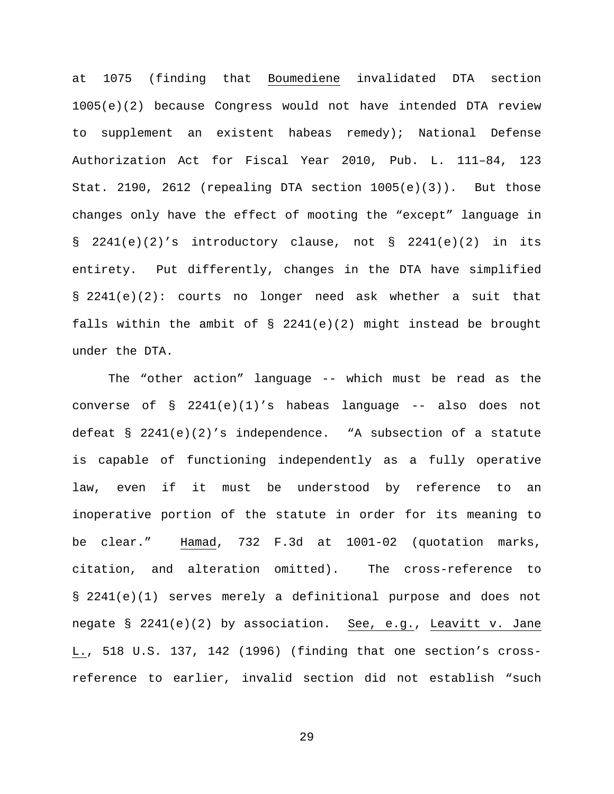at 1075 (finding that Boumediene invalidated DTA section 1005(e)(2) because Congress would not have intended DTA review to supplement an existent habeas remedy); National Defense Authorization Act for Fiscal Year 2010, Pub. L. 111–84, 123 Stat. 2190, 2612 (repealing DTA section  $1005(e)(3)$ ). But those changes only have the effect of mooting the "except" language in § 2241(e)(2)'s introductory clause, not § 2241(e)(2) in its entirety. Put differently, changes in the DTA have simplified § 2241(e)(2): courts no longer need ask whether a suit that falls within the ambit of  $\S$  2241(e)(2) might instead be brought under the DTA.

The "other action" language -- which must be read as the converse of  $\S$  2241(e)(1)'s habeas language -- also does not defeat § 2241(e)(2)'s independence. "A subsection of a statute is capable of functioning independently as a fully operative law, even if it must be understood by reference to an inoperative portion of the statute in order for its meaning to be clear." Hamad, 732 F.3d at 1001-02 (quotation marks, citation, and alteration omitted). The cross-reference to § 2241(e)(1) serves merely a definitional purpose and does not negate § 2241(e)(2) by association. See, e.g., Leavitt v. Jane L., 518 U.S. 137, 142 (1996) (finding that one section's crossreference to earlier, invalid section did not establish "such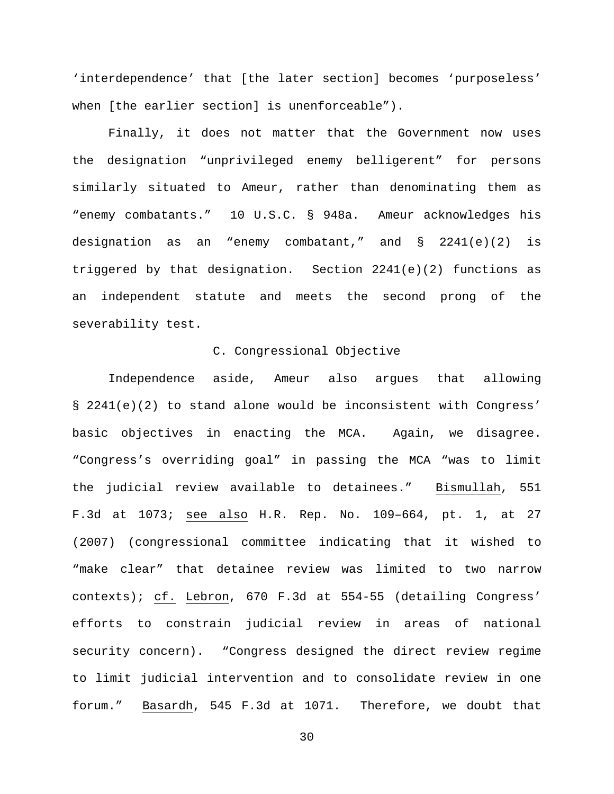'interdependence' that [the later section] becomes 'purposeless' when [the earlier section] is unenforceable").

Finally, it does not matter that the Government now uses the designation "unprivileged enemy belligerent" for persons similarly situated to Ameur, rather than denominating them as "enemy combatants." 10 U.S.C. § 948a. Ameur acknowledges his designation as an "enemy combatant," and § 2241(e)(2) is triggered by that designation. Section 2241(e)(2) functions as an independent statute and meets the second prong of the severability test.

## C. Congressional Objective

Independence aside, Ameur also argues that allowing § 2241(e)(2) to stand alone would be inconsistent with Congress' basic objectives in enacting the MCA. Again, we disagree. "Congress's overriding goal" in passing the MCA "was to limit the judicial review available to detainees." Bismullah, 551 F.3d at 1073; see also H.R. Rep. No. 109–664, pt. 1, at 27 (2007) (congressional committee indicating that it wished to "make clear" that detainee review was limited to two narrow contexts); cf. Lebron, 670 F.3d at 554-55 (detailing Congress' efforts to constrain judicial review in areas of national security concern). "Congress designed the direct review regime to limit judicial intervention and to consolidate review in one forum." Basardh, 545 F.3d at 1071. Therefore, we doubt that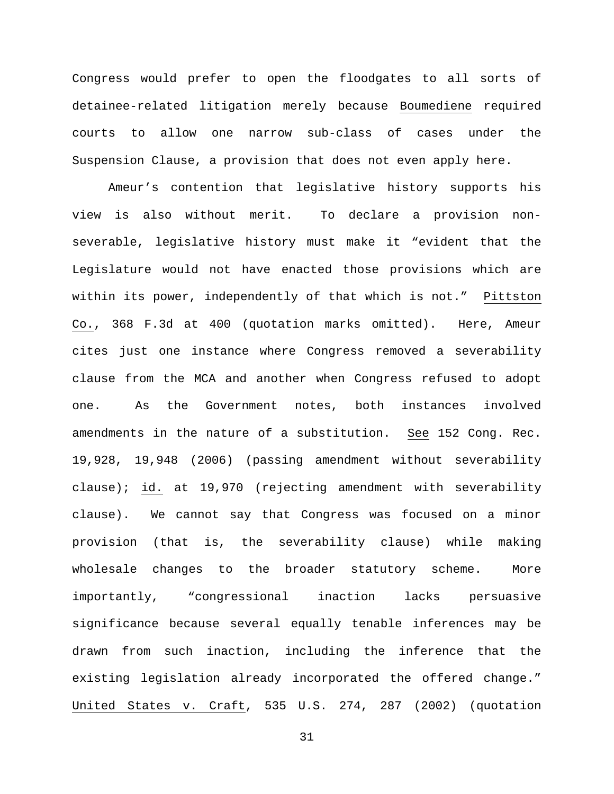Congress would prefer to open the floodgates to all sorts of detainee-related litigation merely because Boumediene required courts to allow one narrow sub-class of cases under the Suspension Clause, a provision that does not even apply here.

Ameur's contention that legislative history supports his view is also without merit. To declare a provision nonseverable, legislative history must make it "evident that the Legislature would not have enacted those provisions which are within its power, independently of that which is not." Pittston Co., 368 F.3d at 400 (quotation marks omitted). Here, Ameur cites just one instance where Congress removed a severability clause from the MCA and another when Congress refused to adopt one. As the Government notes, both instances involved amendments in the nature of a substitution. See 152 Cong. Rec. 19,928, 19,948 (2006) (passing amendment without severability clause); id. at 19,970 (rejecting amendment with severability clause). We cannot say that Congress was focused on a minor provision (that is, the severability clause) while making wholesale changes to the broader statutory scheme. More importantly, "congressional inaction lacks persuasive significance because several equally tenable inferences may be drawn from such inaction, including the inference that the existing legislation already incorporated the offered change." United States v. Craft, 535 U.S. 274, 287 (2002) (quotation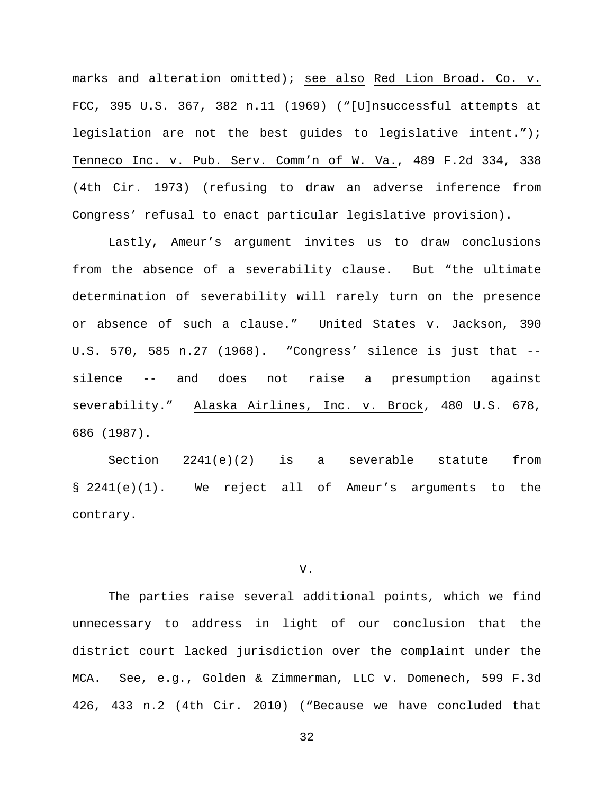marks and alteration omitted); see also Red Lion Broad. Co. v. FCC, 395 U.S. 367, 382 n.11 (1969) ("[U]nsuccessful attempts at legislation are not the best guides to legislative intent."); Tenneco Inc. v. Pub. Serv. Comm'n of W. Va., 489 F.2d 334, 338 (4th Cir. 1973) (refusing to draw an adverse inference from Congress' refusal to enact particular legislative provision).

Lastly, Ameur's argument invites us to draw conclusions from the absence of a severability clause. But "the ultimate determination of severability will rarely turn on the presence or absence of such a clause." United States v. Jackson, 390 U.S. 570, 585 n.27 (1968). "Congress' silence is just that - silence -- and does not raise a presumption against severability." Alaska Airlines, Inc. v. Brock, 480 U.S. 678, 686 (1987).

Section 2241(e)(2) is a severable statute from § 2241(e)(1). We reject all of Ameur's arguments to the contrary.

#### V.

The parties raise several additional points, which we find unnecessary to address in light of our conclusion that the district court lacked jurisdiction over the complaint under the MCA. See, e.g., Golden & Zimmerman, LLC v. Domenech, 599 F.3d 426, 433 n.2 (4th Cir. 2010) ("Because we have concluded that